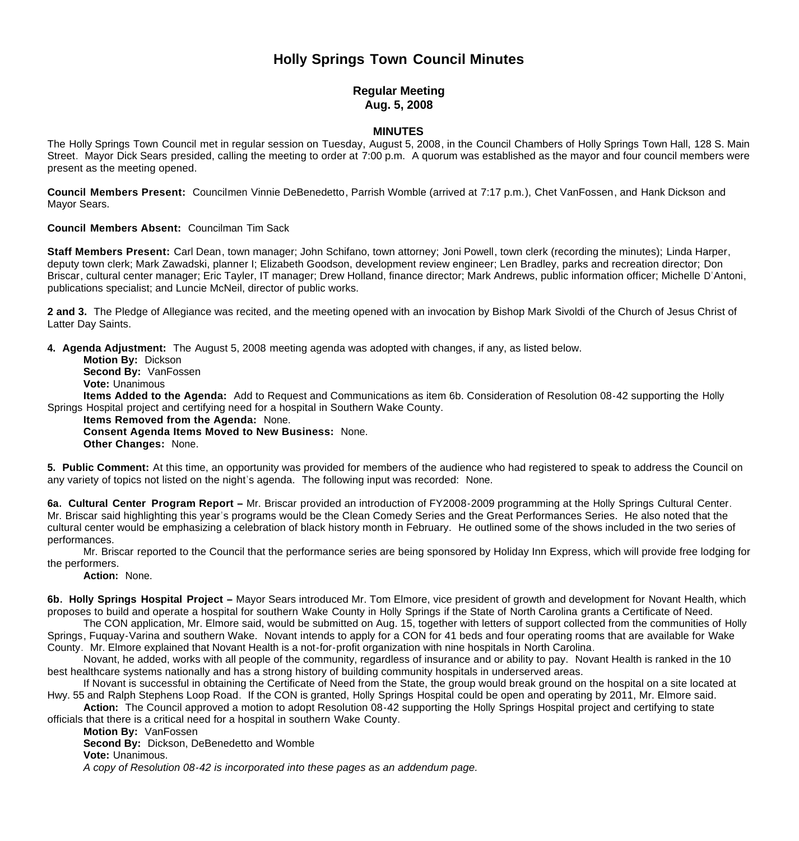## **Holly Springs Town Council Minutes**

## **Regular Meeting Aug. 5, 2008**

## **MINUTES**

The Holly Springs Town Council met in regular session on Tuesday, August 5, 2008, in the Council Chambers of Holly Springs Town Hall, 128 S. Main Street. Mayor Dick Sears presided, calling the meeting to order at 7:00 p.m. A quorum was established as the mayor and four council members were present as the meeting opened.

**Council Members Present:** Councilmen Vinnie DeBenedetto, Parrish Womble (arrived at 7:17 p.m.), Chet VanFossen, and Hank Dickson and Mayor Sears.

**Council Members Absent:** Councilman Tim Sack

**Staff Members Present:** Carl Dean, town manager; John Schifano, town attorney; Joni Powell, town clerk (recording the minutes); Linda Harper, deputy town clerk; Mark Zawadski, planner I; Elizabeth Goodson, development review engineer; Len Bradley, parks and recreation director; Don Briscar, cultural center manager; Eric Tayler, IT manager; Drew Holland, finance director; Mark Andrews, public information officer; Michelle D'Antoni, publications specialist; and Luncie McNeil, director of public works.

**2 and 3.** The Pledge of Allegiance was recited, and the meeting opened with an invocation by Bishop Mark Sivoldi of the Church of Jesus Christ of Latter Day Saints.

**4. Agenda Adjustment:** The August 5, 2008 meeting agenda was adopted with changes, if any, as listed below.

 **Motion By:** Dickson **Second By:** VanFossen **Vote:** Unanimous

 **Items Added to the Agenda:** Add to Request and Communications as item 6b. Consideration of Resolution 08-42 supporting the Holly Springs Hospital project and certifying need for a hospital in Southern Wake County.

**Items Removed from the Agenda:** None.

**Consent Agenda Items Moved to New Business:** None.

**Other Changes:** None.

**5. Public Comment:** At this time, an opportunity was provided for members of the audience who had registered to speak to address the Council on any variety of topics not listed on the night's agenda. The following input was recorded: None.

**6a. Cultural Center Program Report –** Mr. Briscar provided an introduction of FY2008-2009 programming at the Holly Springs Cultural Center. Mr. Briscar said highlighting this year's programs would be the Clean Comedy Series and the Great Performances Series. He also noted that the cultural center would be emphasizing a celebration of black history month in February. He outlined some of the shows included in the two series of performances.

 Mr. Briscar reported to the Council that the performance series are being sponsored by Holiday Inn Express, which will provide free lodging for the performers.

**Action:** None.

**6b. Holly Springs Hospital Project –** Mayor Sears introduced Mr. Tom Elmore, vice president of growth and development for Novant Health, which proposes to build and operate a hospital for southern Wake County in Holly Springs if the State of North Carolina grants a Certificate of Need.

 The CON application, Mr. Elmore said, would be submitted on Aug. 15, together with letters of support collected from the communities of Holly Springs, Fuquay-Varina and southern Wake. Novant intends to apply for a CON for 41 beds and four operating rooms that are available for Wake County. Mr. Elmore explained that Novant Health is a not-for-profit organization with nine hospitals in North Carolina.

 Novant, he added, works with all people of the community, regardless of insurance and or ability to pay. Novant Health is ranked in the 10 best healthcare systems nationally and has a strong history of building community hospitals in underserved areas.

 If Novant is successful in obtaining the Certificate of Need from the State, the group would break ground on the hospital on a site located at Hwy. 55 and Ralph Stephens Loop Road. If the CON is granted, Holly Springs Hospital could be open and operating by 2011, Mr. Elmore said.

Action: The Council approved a motion to adopt Resolution 08-42 supporting the Holly Springs Hospital project and certifying to state officials that there is a critical need for a hospital in southern Wake County.

 **Motion By:** VanFossen

**Second By:** Dickson, DeBenedetto and Womble

**Vote:** Unanimous.

 *A copy of Resolution 08-42 is incorporated into these pages as an addendum page.*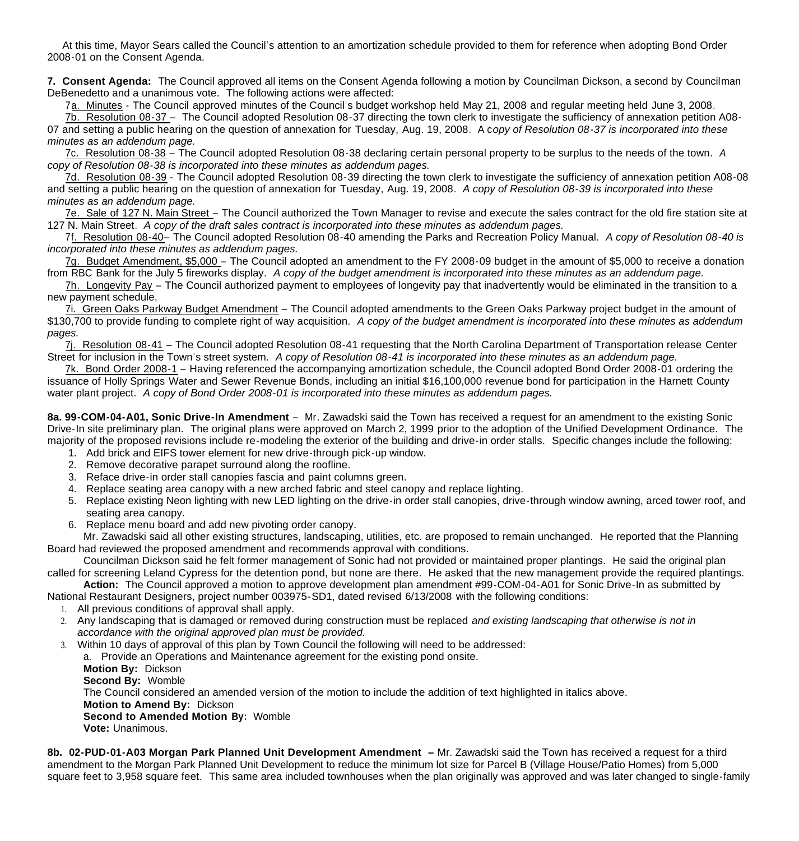At this time, Mayor Sears called the Council's attention to an amortization schedule provided to them for reference when adopting Bond Order 2008-01 on the Consent Agenda.

**7. Consent Agenda:** The Council approved all items on the Consent Agenda following a motion by Councilman Dickson, a second by Councilman DeBenedetto and a unanimous vote. The following actions were affected:

7a. Minutes - The Council approved minutes of the Council's budget workshop held May 21, 2008 and regular meeting held June 3, 2008.

7b. Resolution 08-37 – The Council adopted Resolution 08-37 directing the town clerk to investigate the sufficiency of annexation petition A08- 07 and setting a public hearing on the question of annexation for Tuesday, Aug. 19, 2008. A c*opy of Resolution 08-37 is incorporated into these minutes as an addendum page.*

 7c. Resolution 08-38 – The Council adopted Resolution 08-38 declaring certain personal property to be surplus to the needs of the town. *A copy of Resolution 08-38 is incorporated into these minutes as addendum pages.*

7d. Resolution 08-39 - The Council adopted Resolution 08-39 directing the town clerk to investigate the sufficiency of annexation petition A08-08 and setting a public hearing on the question of annexation for Tuesday, Aug. 19, 2008. *A copy of Resolution 08-39 is incorporated into these minutes as an addendum page.*

 7e. Sale of 127 N. Main Street – The Council authorized the Town Manager to revise and execute the sales contract for the old fire station site at 127 N. Main Street. *A copy of the draft sales contract is incorporated into these minutes as addendum pages.*

 7f. Resolution 08-40– The Council adopted Resolution 08-40 amending the Parks and Recreation Policy Manual. *A copy of Resolution 08-40 is incorporated into these minutes as addendum pages.*

 7g. Budget Amendment, \$5,000 – The Council adopted an amendment to the FY 2008-09 budget in the amount of \$5,000 to receive a donation from RBC Bank for the July 5 fireworks display. *A copy of the budget amendment is incorporated into these minutes as an addendum page.*

 7h. Longevity Pay – The Council authorized payment to employees of longevity pay that inadvertently would be eliminated in the transition to a new payment schedule.

 7i. Green Oaks Parkway Budget Amendment – The Council adopted amendments to the Green Oaks Parkway project budget in the amount of \$130,700 to provide funding to complete right of way acquisition. *A copy of the budget amendment is incorporated into these minutes as addendum pages.*

 7j. Resolution 08-41 – The Council adopted Resolution 08-41 requesting that the North Carolina Department of Transportation release Center Street for inclusion in the Town's street system. *A copy of Resolution 08-41 is incorporated into these minutes as an addendum page.*

 7k. Bond Order 2008-1 – Having referenced the accompanying amortization schedule, the Council adopted Bond Order 2008-01 ordering the issuance of Holly Springs Water and Sewer Revenue Bonds, including an initial \$16,100,000 revenue bond for participation in the Harnett County water plant project. *A copy of Bond Order 2008-01 is incorporated into these minutes as addendum pages.*

**8a. 99-COM-04-A01, Sonic Drive-In Amendment** – Mr. Zawadski said the Town has received a request for an amendment to the existing Sonic Drive-In site preliminary plan. The original plans were approved on March 2, 1999 prior to the adoption of the Unified Development Ordinance. The majority of the proposed revisions include re-modeling the exterior of the building and drive-in order stalls. Specific changes include the following:

- 1. Add brick and EIFS tower element for new drive-through pick-up window.
- 2. Remove decorative parapet surround along the roofline.
- 3. Reface drive-in order stall canopies fascia and paint columns green.
- 4. Replace seating area canopy with a new arched fabric and steel canopy and replace lighting.
- 5. Replace existing Neon lighting with new LED lighting on the drive-in order stall canopies, drive-through window awning, arced tower roof, and seating area canopy.
- 6. Replace menu board and add new pivoting order canopy.

 Mr. Zawadski said all other existing structures, landscaping, utilities, etc. are proposed to remain unchanged. He reported that the Planning Board had reviewed the proposed amendment and recommends approval with conditions.

 Councilman Dickson said he felt former management of Sonic had not provided or maintained proper plantings. He said the original plan called for screening Leland Cypress for the detention pond, but none are there. He asked that the new management provide the required plantings.

 **Action:** The Council approved a motion to approve development plan amendment #99-COM-04-A01 for Sonic Drive-In as submitted by National Restaurant Designers, project number 003975-SD1, dated revised 6/13/2008 with the following conditions:

- 1. All previous conditions of approval shall apply.
- 2. Any landscaping that is damaged or removed during construction must be replaced *and existing landscaping that otherwise is not in accordance with the original approved plan must be provided.*
- 3. Within 10 days of approval of this plan by Town Council the following will need to be addressed:

a. Provide an Operations and Maintenance agreement for the existing pond onsite.

**Motion By:** Dickson

**Second By:** Womble

The Council considered an amended version of the motion to include the addition of text highlighted in italics above.

**Motion to Amend By:** Dickson

**Second to Amended Motion By:** Womble

**Vote:** Unanimous.

**8b. 02-PUD-01-A03 Morgan Park Planned Unit Development Amendment –** Mr. Zawadski said the Town has received a request for a third amendment to the Morgan Park Planned Unit Development to reduce the minimum lot size for Parcel B (Village House/Patio Homes) from 5,000 square feet to 3,958 square feet. This same area included townhouses when the plan originally was approved and was later changed to single-family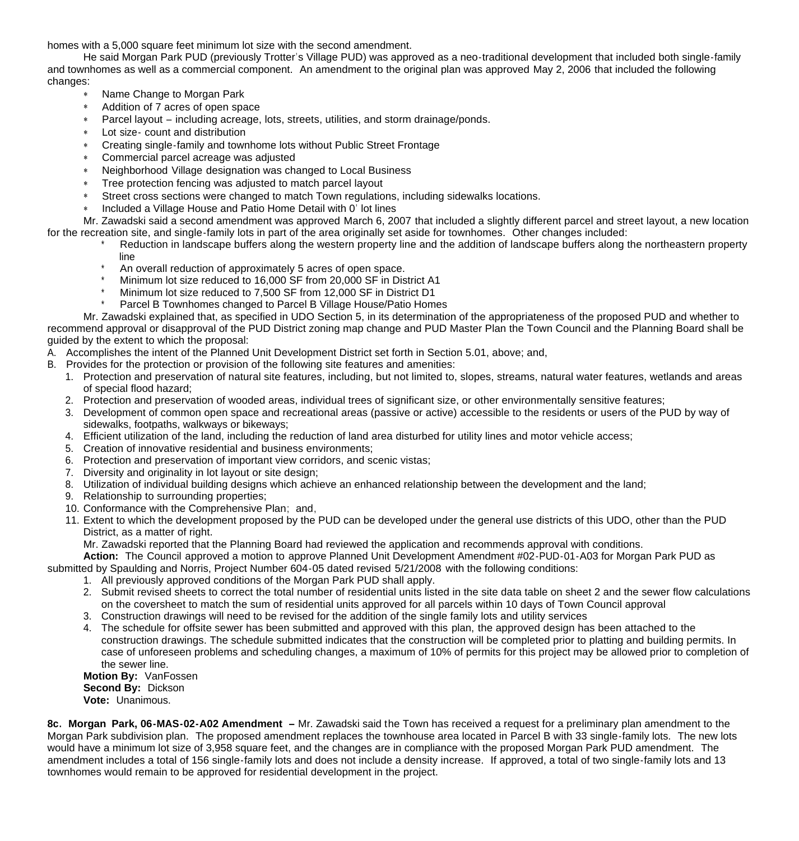homes with a 5,000 square feet minimum lot size with the second amendment.

 He said Morgan Park PUD (previously Trotter's Village PUD) was approved as a neo-traditional development that included both single-family and townhomes as well as a commercial component. An amendment to the original plan was approved May 2, 2006 that included the following changes:

- Name Change to Morgan Park
- Addition of 7 acres of open space
- Parcel layout including acreage, lots, streets, utilities, and storm drainage/ponds.
- Lot size- count and distribution
- Creating single-family and townhome lots without Public Street Frontage
- Commercial parcel acreage was adjusted
- Neighborhood Village designation was changed to Local Business
- Tree protection fencing was adjusted to match parcel layout
- Street cross sections were changed to match Town regulations, including sidewalks locations.
- \* Included a Village House and Patio Home Detail with 0' lot lines

 Mr. Zawadski said a second amendment was approved March 6, 2007 that included a slightly different parcel and street layout, a new location for the recreation site, and single-family lots in part of the area originally set aside for townhomes. Other changes included:

- Reduction in landscape buffers along the western property line and the addition of landscape buffers along the northeastern property line
- \* An overall reduction of approximately 5 acres of open space.
- Minimum lot size reduced to 16,000 SF from 20,000 SF in District A1
- Minimum lot size reduced to 7,500 SF from 12,000 SF in District D1
- Parcel B Townhomes changed to Parcel B Village House/Patio Homes

Mr. Zawadski explained that, as specified in UDO Section 5, in its determination of the appropriateness of the proposed PUD and whether to recommend approval or disapproval of the PUD District zoning map change and PUD Master Plan the Town Council and the Planning Board shall be guided by the extent to which the proposal:

- A. Accomplishes the intent of the Planned Unit Development District set forth in Section 5.01, above; and,
- B. Provides for the protection or provision of the following site features and amenities:
	- 1. Protection and preservation of natural site features, including, but not limited to, slopes, streams, natural water features, wetlands and areas of special flood hazard;
	- 2. Protection and preservation of wooded areas, individual trees of significant size, or other environmentally sensitive features;
	- 3. Development of common open space and recreational areas (passive or active) accessible to the residents or users of the PUD by way of sidewalks, footpaths, walkways or bikeways;
	- 4. Efficient utilization of the land, including the reduction of land area disturbed for utility lines and motor vehicle access;
	- 5. Creation of innovative residential and business environments;
	- 6. Protection and preservation of important view corridors, and scenic vistas;
	- 7. Diversity and originality in lot layout or site design;
	- 8. Utilization of individual building designs which achieve an enhanced relationship between the development and the land;
	- 9. Relationship to surrounding properties;
	- 10. Conformance with the Comprehensive Plan; and,

11. Extent to which the development proposed by the PUD can be developed under the general use districts of this UDO, other than the PUD District, as a matter of right.

Mr. Zawadski reported that the Planning Board had reviewed the application and recommends approval with conditions.

**Action:** The Council approved a motion to approve Planned Unit Development Amendment #02-PUD-01-A03 for Morgan Park PUD as submitted by Spaulding and Norris, Project Number 604-05 dated revised 5/21/2008 with the following conditions:

- 1. All previously approved conditions of the Morgan Park PUD shall apply.
- 2. Submit revised sheets to correct the total number of residential units listed in the site data table on sheet 2 and the sewer flow calculations on the coversheet to match the sum of residential units approved for all parcels within 10 days of Town Council approval
- 3. Construction drawings will need to be revised for the addition of the single family lots and utility services
- 4. The schedule for offsite sewer has been submitted and approved with this plan, the approved design has been attached to the construction drawings. The schedule submitted indicates that the construction will be completed prior to platting and building permits. In case of unforeseen problems and scheduling changes, a maximum of 10% of permits for this project may be allowed prior to completion of the sewer line.

**Motion By:** VanFossen **Second By:** Dickson **Vote:** Unanimous.

**8c. Morgan Park, 06-MAS-02-A02 Amendment –** Mr. Zawadski said the Town has received a request for a preliminary plan amendment to the Morgan Park subdivision plan. The proposed amendment replaces the townhouse area located in Parcel B with 33 single-family lots. The new lots would have a minimum lot size of 3,958 square feet, and the changes are in compliance with the proposed Morgan Park PUD amendment. The amendment includes a total of 156 single-family lots and does not include a density increase. If approved, a total of two single-family lots and 13 townhomes would remain to be approved for residential development in the project.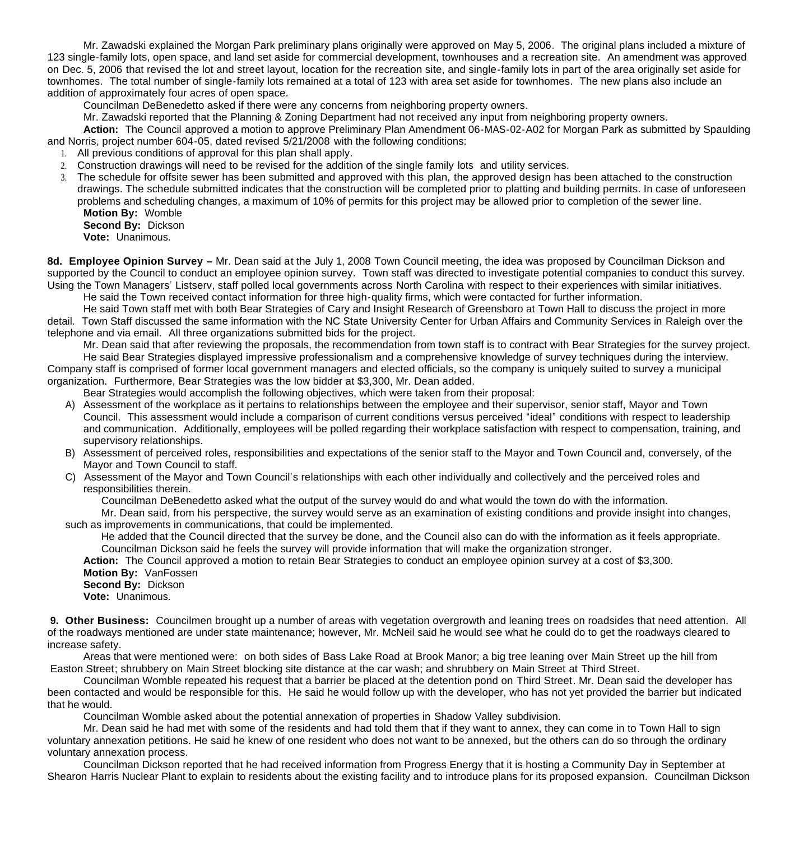Mr. Zawadski explained the Morgan Park preliminary plans originally were approved on May 5, 2006. The original plans included a mixture of 123 single-family lots, open space, and land set aside for commercial development, townhouses and a recreation site. An amendment was approved on Dec. 5, 2006 that revised the lot and street layout, location for the recreation site, and single-family lots in part of the area originally set aside for townhomes. The total number of single-family lots remained at a total of 123 with area set aside for townhomes. The new plans also include an addition of approximately four acres of open space.

Councilman DeBenedetto asked if there were any concerns from neighboring property owners.

Mr. Zawadski reported that the Planning & Zoning Department had not received any input from neighboring property owners.

**Action:** The Council approved a motion to approve Preliminary Plan Amendment 06-MAS-02-A02 for Morgan Park as submitted by Spaulding and Norris, project number 604-05, dated revised 5/21/2008 with the following conditions:

- 1. All previous conditions of approval for this plan shall apply.
- 2. Construction drawings will need to be revised for the addition of the single family lots and utility services.
- 3. The schedule for offsite sewer has been submitted and approved with this plan, the approved design has been attached to the construction drawings. The schedule submitted indicates that the construction will be completed prior to platting and building permits. In case of unforeseen problems and scheduling changes, a maximum of 10% of permits for this project may be allowed prior to completion of the sewer line. **Motion By:** Womble

**Second By:** Dickson

**Vote:** Unanimous.

**8d. Employee Opinion Survey –** Mr. Dean said at the July 1, 2008 Town Council meeting, the idea was proposed by Councilman Dickson and supported by the Council to conduct an employee opinion survey. Town staff was directed to investigate potential companies to conduct this survey. Using the Town Managers' Listserv, staff polled local governments across North Carolina with respect to their experiences with similar initiatives.

He said the Town received contact information for three high-quality firms, which were contacted for further information.

 He said Town staff met with both Bear Strategies of Cary and Insight Research of Greensboro at Town Hall to discuss the project in more detail. Town Staff discussed the same information with the NC State University Center for Urban Affairs and Community Services in Raleigh over the telephone and via email. All three organizations submitted bids for the project.

 Mr. Dean said that after reviewing the proposals, the recommendation from town staff is to contract with Bear Strategies for the survey project. He said Bear Strategies displayed impressive professionalism and a comprehensive knowledge of survey techniques during the interview. Company staff is comprised of former local government managers and elected officials, so the company is uniquely suited to survey a municipal organization. Furthermore, Bear Strategies was the low bidder at \$3,300, Mr. Dean added.

Bear Strategies would accomplish the following objectives, which were taken from their proposal:

- A) Assessment of the workplace as it pertains to relationships between the employee and their supervisor, senior staff, Mayor and Town Council. This assessment would include a comparison of current conditions versus perceived "ideal" conditions with respect to leadership and communication. Additionally, employees will be polled regarding their workplace satisfaction with respect to compensation, training, and supervisory relationships.
- B) Assessment of perceived roles, responsibilities and expectations of the senior staff to the Mayor and Town Council and, conversely, of the Mayor and Town Council to staff.
- C) Assessment of the Mayor and Town Council's relationships with each other individually and collectively and the perceived roles and responsibilities therein.

Councilman DeBenedetto asked what the output of the survey would do and what would the town do with the information.

Mr. Dean said, from his perspective, the survey would serve as an examination of existing conditions and provide insight into changes, such as improvements in communications, that could be implemented.

He added that the Council directed that the survey be done, and the Council also can do with the information as it feels appropriate. Councilman Dickson said he feels the survey will provide information that will make the organization stronger.

**Action:** The Council approved a motion to retain Bear Strategies to conduct an employee opinion survey at a cost of \$3,300. **Motion By:** VanFossen

 **Second By:** Dickson **Vote:** Unanimous.

**9. Other Business:** Councilmen brought up a number of areas with vegetation overgrowth and leaning trees on roadsides that need attention. All of the roadways mentioned are under state maintenance; however, Mr. McNeil said he would see what he could do to get the roadways cleared to increase safety.

Areas that were mentioned were: on both sides of Bass Lake Road at Brook Manor; a big tree leaning over Main Street up the hill from Easton Street; shrubbery on Main Street blocking site distance at the car wash; and shrubbery on Main Street at Third Street.

 Councilman Womble repeated his request that a barrier be placed at the detention pond on Third Street. Mr. Dean said the developer has been contacted and would be responsible for this. He said he would follow up with the developer, who has not yet provided the barrier but indicated that he would.

Councilman Womble asked about the potential annexation of properties in Shadow Valley subdivision.

 Mr. Dean said he had met with some of the residents and had told them that if they want to annex, they can come in to Town Hall to sign voluntary annexation petitions. He said he knew of one resident who does not want to be annexed, but the others can do so through the ordinary voluntary annexation process.

 Councilman Dickson reported that he had received information from Progress Energy that it is hosting a Community Day in September at Shearon Harris Nuclear Plant to explain to residents about the existing facility and to introduce plans for its proposed expansion. Councilman Dickson